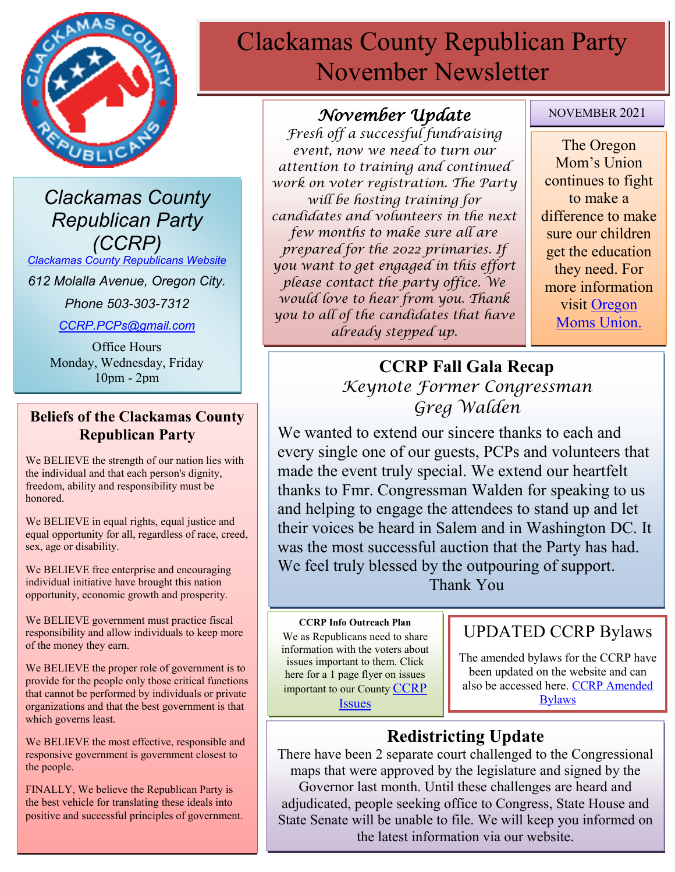

*Clackamas County Republican Party (CCRP)*

*[Clackamas County Republicans Website](https://www.clackamascountyrepublicans.org/)*

*612 Molalla Avenue, Oregon City.* 

*Phone 503-303-7312*

*[CCRP.PCPs@gmail.com](mailto:CCRP.PCPs@gmail.com)*

Office Hours Monday, Wednesday, Friday 10pm - 2pm

### **Beliefs of the Clackamas County Republican Party**

We BELIEVE the strength of our nation lies with the individual and that each person's dignity, freedom, ability and responsibility must be honored.

We BELIEVE in equal rights, equal justice and equal opportunity for all, regardless of race, creed, sex, age or disability.

We BELIEVE free enterprise and encouraging individual initiative have brought this nation opportunity, economic growth and prosperity.

We BELIEVE government must practice fiscal responsibility and allow individuals to keep more of the money they earn.

We BELIEVE the proper role of government is to provide for the people only those critical functions that cannot be performed by individuals or private organizations and that the best government is that which governs least.

We BELIEVE the most effective, responsible and responsive government is government closest to the people.

FINALLY, We believe the Republican Party is the best vehicle for translating these ideals into positive and successful principles of government.

# Clackamas County Republican Party November Newsletter

### *November Update*

*Fresh off a successful fundraising event, now we need to turn our attention to training and continued work on voter registration. The Party will be hosting training for candidates and volunteers in the next few months to make sure all are prepared for the 2022 primaries. If you want to get engaged in this effort please contact the party office. We would love to hear from you. Thank you to all of the candidates that have already stepped up.*

NOVEMBER 2021

The Oregon Mom's Union continues to fight to make a difference to make sure our children get the education they need. For more information visit Oregon Moms Union.

## **CCRP Fall Gala Recap** *Keynote Former Congressman Greg Walden*

We wanted to extend our sincere thanks to each and every single one of our guests, PCPs and volunteers that made the event truly special. We extend our heartfelt thanks to Fmr. Congressman Walden for speaking to us and helping to engage the attendees to stand up and let their voices be heard in Salem and in Washington DC. It was the most successful auction that the Party has had. We feel truly blessed by the outpouring of support. Thank You

### **CCRP Info Outreach Plan**

We as Republicans need to share information with the voters about issues important to them. Click here for a 1 page flyer on issues important to our County [CCRP](https://www.clackamascountyrepublicans.org/wp-content/uploads/2021/09/CCRP-Outreach.pdf)  **[Issues](https://www.clackamascountyrepublicans.org/wp-content/uploads/2021/09/CCRP-Outreach.pdf)** 

### UPDATED CCRP Bylaws

The amended bylaws for the CCRP have been updated on the website and can also be accessed here. [CCRP Amended](https://www.clackamascountyrepublicans.org/wp-content/uploads/2021/10/CCRP-Bylaws-Amended-9-18-21.pdf)  [Bylaws](https://www.clackamascountyrepublicans.org/wp-content/uploads/2021/10/CCRP-Bylaws-Amended-9-18-21.pdf)

# **Redistricting Update**

There have been 2 separate court challenged to the Congressional maps that were approved by the legislature and signed by the Governor last month. Until these challenges are heard and adjudicated, people seeking office to Congress, State House and State Senate will be unable to file. We will keep you informed on the latest information via our website.